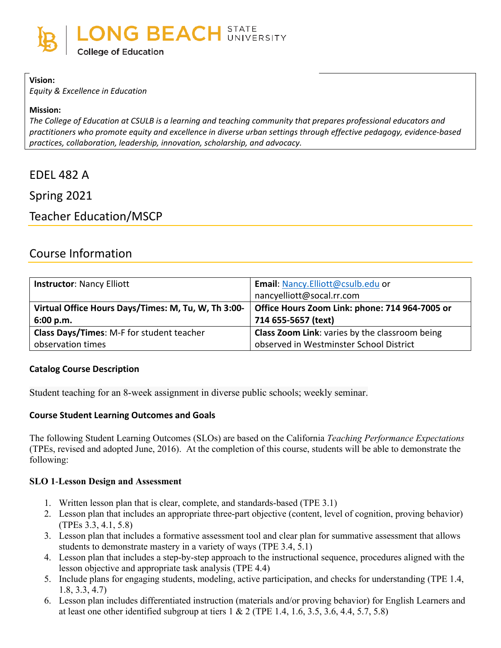

#### **Vision:**

*Equity & Excellence in Education*

#### **Mission:**

*The College of Education at CSULB is a learning and teaching community that prepares professional educators and practitioners who promote equity and excellence in diverse urban settings through effective pedagogy, evidence-based practices, collaboration, leadership, innovation, scholarship, and advocacy.*

# EDEL 482 A

Spring 2021

# Teacher Education/MSCP

# Course Information

| <b>Instructor: Nancy Elliott</b>                    | Email: Nancy.Elliott@csulb.edu or                     |
|-----------------------------------------------------|-------------------------------------------------------|
|                                                     | nancyelliott@socal.rr.com                             |
| Virtual Office Hours Days/Times: M, Tu, W, Th 3:00- | Office Hours Zoom Link: phone: 714 964-7005 or        |
| 6:00 p.m.                                           | 714 655-5657 (text)                                   |
| Class Days/Times: M-F for student teacher           | <b>Class Zoom Link:</b> varies by the classroom being |
| observation times                                   | observed in Westminster School District               |

#### **Catalog Course Description**

Student teaching for an 8-week assignment in diverse public schools; weekly seminar.

#### **Course Student Learning Outcomes and Goals**

The following Student Learning Outcomes (SLOs) are based on the California *Teaching Performance Expectations* (TPEs, revised and adopted June, 2016). At the completion of this course, students will be able to demonstrate the following:

#### **SLO 1**-**Lesson Design and Assessment**

- 1. Written lesson plan that is clear, complete, and standards-based (TPE 3.1)
- 2. Lesson plan that includes an appropriate three-part objective (content, level of cognition, proving behavior) (TPEs 3.3, 4.1, 5.8)
- 3. Lesson plan that includes a formative assessment tool and clear plan for summative assessment that allows students to demonstrate mastery in a variety of ways (TPE 3.4, 5.1)
- 4. Lesson plan that includes a step-by-step approach to the instructional sequence, procedures aligned with the lesson objective and appropriate task analysis (TPE 4.4)
- 5. Include plans for engaging students, modeling, active participation, and checks for understanding (TPE 1.4, 1.8, 3.3, 4.7)
- 6. Lesson plan includes differentiated instruction (materials and/or proving behavior) for English Learners and at least one other identified subgroup at tiers  $1 \& 2$  (TPE 1.4, 1.6, 3.5, 3.6, 4.4, 5.7, 5.8)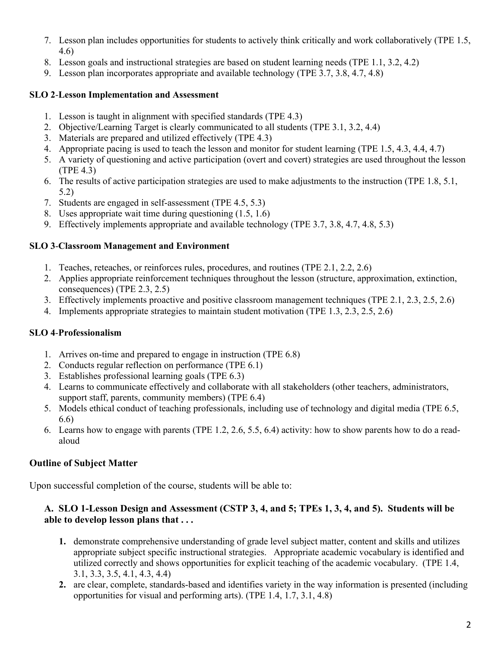- 7. Lesson plan includes opportunities for students to actively think critically and work collaboratively (TPE 1.5, 4.6)
- 8. Lesson goals and instructional strategies are based on student learning needs (TPE 1.1, 3.2, 4.2)
- 9. Lesson plan incorporates appropriate and available technology (TPE 3.7, 3.8, 4.7, 4.8)

### **SLO 2**-**Lesson Implementation and Assessment**

- 1. Lesson is taught in alignment with specified standards (TPE 4.3)
- 2. Objective/Learning Target is clearly communicated to all students (TPE 3.1, 3.2, 4.4)
- 3. Materials are prepared and utilized effectively (TPE 4.3)
- 4. Appropriate pacing is used to teach the lesson and monitor for student learning (TPE 1.5, 4.3, 4.4, 4.7)
- 5. A variety of questioning and active participation (overt and covert) strategies are used throughout the lesson (TPE 4.3)
- 6. The results of active participation strategies are used to make adjustments to the instruction (TPE 1.8, 5.1, 5.2)
- 7. Students are engaged in self-assessment (TPE 4.5, 5.3)
- 8. Uses appropriate wait time during questioning (1.5, 1.6)
- 9. Effectively implements appropriate and available technology (TPE 3.7, 3.8, 4.7, 4.8, 5.3)

#### **SLO 3**-**Classroom Management and Environment**

- 1. Teaches, reteaches, or reinforces rules, procedures, and routines (TPE 2.1, 2.2, 2.6)
- 2. Applies appropriate reinforcement techniques throughout the lesson (structure, approximation, extinction, consequences) (TPE 2.3, 2.5)
- 3. Effectively implements proactive and positive classroom management techniques (TPE 2.1, 2.3, 2.5, 2.6)
- 4. Implements appropriate strategies to maintain student motivation (TPE 1.3, 2.3, 2.5, 2.6)

#### **SLO 4**-**Professionalism**

- 1. Arrives on-time and prepared to engage in instruction (TPE 6.8)
- 2. Conducts regular reflection on performance (TPE 6.1)
- 3. Establishes professional learning goals (TPE 6.3)
- 4. Learns to communicate effectively and collaborate with all stakeholders (other teachers, administrators, support staff, parents, community members) (TPE 6.4)
- 5. Models ethical conduct of teaching professionals, including use of technology and digital media (TPE 6.5, 6.6)
- 6. Learns how to engage with parents (TPE 1.2, 2.6, 5.5, 6.4) activity: how to show parents how to do a readaloud

# **Outline of Subject Matter**

Upon successful completion of the course, students will be able to:

#### **A. SLO 1-Lesson Design and Assessment (CSTP 3, 4, and 5; TPEs 1, 3, 4, and 5). Students will be able to develop lesson plans that . . .**

- **1.** demonstrate comprehensive understanding of grade level subject matter, content and skills and utilizes appropriate subject specific instructional strategies. Appropriate academic vocabulary is identified and utilized correctly and shows opportunities for explicit teaching of the academic vocabulary. (TPE 1.4, 3.1, 3.3, 3.5, 4.1, 4.3, 4.4)
- **2.** are clear, complete, standards-based and identifies variety in the way information is presented (including opportunities for visual and performing arts). (TPE 1.4, 1.7, 3.1, 4.8)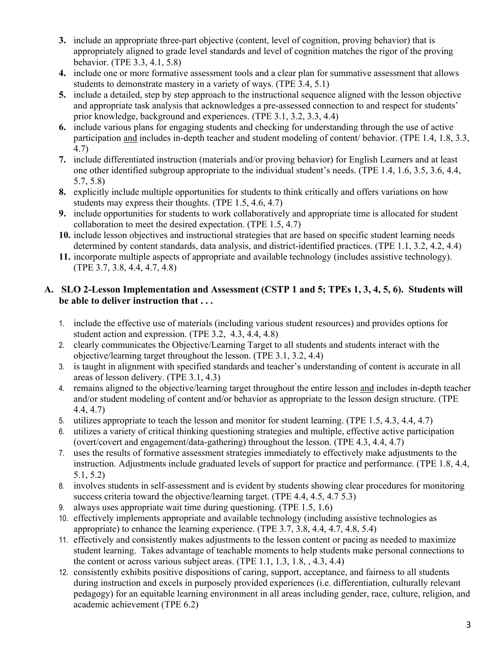- **3.** include an appropriate three-part objective (content, level of cognition, proving behavior) that is appropriately aligned to grade level standards and level of cognition matches the rigor of the proving behavior. (TPE 3.3, 4.1, 5.8)
- **4.** include one or more formative assessment tools and a clear plan for summative assessment that allows students to demonstrate mastery in a variety of ways. (TPE 3.4, 5.1)
- **5.** include a detailed, step by step approach to the instructional sequence aligned with the lesson objective and appropriate task analysis that acknowledges a pre-assessed connection to and respect for students' prior knowledge, background and experiences. (TPE 3.1, 3.2, 3.3, 4.4)
- **6.** include various plans for engaging students and checking for understanding through the use of active participation and includes in-depth teacher and student modeling of content/ behavior. (TPE 1.4, 1.8, 3.3, 4.7)
- **7.** include differentiated instruction (materials and/or proving behavior) for English Learners and at least one other identified subgroup appropriate to the individual student's needs. (TPE 1.4, 1.6, 3.5, 3.6, 4.4, 5.7, 5.8)
- **8.** explicitly include multiple opportunities for students to think critically and offers variations on how students may express their thoughts. (TPE 1.5, 4.6, 4.7)
- **9.** include opportunities for students to work collaboratively and appropriate time is allocated for student collaboration to meet the desired expectation. (TPE 1.5, 4.7)
- **10.** include lesson objectives and instructional strategies that are based on specific student learning needs determined by content standards, data analysis, and district-identified practices. (TPE 1.1, 3.2, 4.2, 4.4)
- **11.** incorporate multiple aspects of appropriate and available technology (includes assistive technology). (TPE 3.7, 3.8, 4.4, 4.7, 4.8)

# **A. SLO 2-Lesson Implementation and Assessment (CSTP 1 and 5; TPEs 1, 3, 4, 5, 6). Students will be able to deliver instruction that . . .**

- 1. include the effective use of materials (including various student resources) and provides options for student action and expression. (TPE 3.2, 4.3, 4.4, 4.8)
- 2. clearly communicates the Objective/Learning Target to all students and students interact with the objective/learning target throughout the lesson. (TPE 3.1, 3.2, 4.4)
- 3. is taught in alignment with specified standards and teacher's understanding of content is accurate in all areas of lesson delivery. (TPE 3.1, 4.3)
- 4. remains aligned to the objective/learning target throughout the entire lesson and includes in-depth teacher and/or student modeling of content and/or behavior as appropriate to the lesson design structure. (TPE 4.4, 4.7)
- 5. utilizes appropriate to teach the lesson and monitor for student learning. (TPE 1.5, 4.3, 4.4, 4.7)
- 6. utilizes a variety of critical thinking questioning strategies and multiple, effective active participation (overt/covert and engagement/data-gathering) throughout the lesson. (TPE 4.3, 4.4, 4.7)
- 7. uses the results of formative assessment strategies immediately to effectively make adjustments to the instruction. Adjustments include graduated levels of support for practice and performance. (TPE 1.8, 4.4, 5.1, 5.2)
- 8. involves students in self-assessment and is evident by students showing clear procedures for monitoring success criteria toward the objective/learning target. (TPE 4.4, 4.5, 4.7 5.3)
- 9. always uses appropriate wait time during questioning. (TPE 1.5, 1.6)
- 10. effectively implements appropriate and available technology (including assistive technologies as appropriate) to enhance the learning experience. (TPE 3.7, 3.8, 4.4, 4.7, 4.8, 5.4)
- 11. effectively and consistently makes adjustments to the lesson content or pacing as needed to maximize student learning. Takes advantage of teachable moments to help students make personal connections to the content or across various subject areas. (TPE  $1.1, 1.3, 1.8, 4.3, 4.4$ )
- 12. consistently exhibits positive dispositions of caring, support, acceptance, and fairness to all students during instruction and excels in purposely provided experiences (i.e. differentiation, culturally relevant pedagogy) for an equitable learning environment in all areas including gender, race, culture, religion, and academic achievement (TPE 6.2)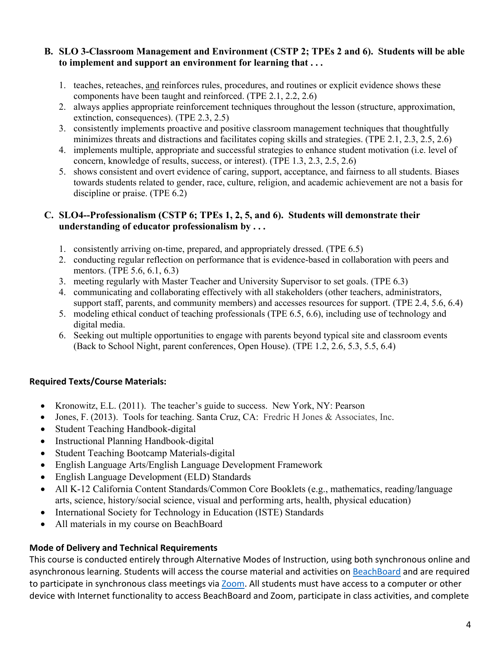#### **B. SLO 3-Classroom Management and Environment (CSTP 2; TPEs 2 and 6). Students will be able to implement and support an environment for learning that . . .**

- 1. teaches, reteaches, and reinforces rules, procedures, and routines or explicit evidence shows these components have been taught and reinforced. (TPE 2.1, 2.2, 2.6)
- 2. always applies appropriate reinforcement techniques throughout the lesson (structure, approximation, extinction, consequences). (TPE 2.3, 2.5)
- 3. consistently implements proactive and positive classroom management techniques that thoughtfully minimizes threats and distractions and facilitates coping skills and strategies. (TPE 2.1, 2.3, 2.5, 2.6)
- 4. implements multiple, appropriate and successful strategies to enhance student motivation (i.e. level of concern, knowledge of results, success, or interest). (TPE 1.3, 2.3, 2.5, 2.6)
- 5. shows consistent and overt evidence of caring, support, acceptance, and fairness to all students. Biases towards students related to gender, race, culture, religion, and academic achievement are not a basis for discipline or praise. (TPE 6.2)

#### **C. SLO4--Professionalism (CSTP 6; TPEs 1, 2, 5, and 6). Students will demonstrate their understanding of educator professionalism by . . .**

- 1. consistently arriving on-time, prepared, and appropriately dressed. (TPE 6.5)
- 2. conducting regular reflection on performance that is evidence-based in collaboration with peers and mentors. (TPE 5.6, 6.1, 6.3)
- 3. meeting regularly with Master Teacher and University Supervisor to set goals. (TPE 6.3)
- 4. communicating and collaborating effectively with all stakeholders (other teachers, administrators, support staff, parents, and community members) and accesses resources for support. (TPE 2.4, 5.6, 6.4)
- 5. modeling ethical conduct of teaching professionals (TPE 6.5, 6.6), including use of technology and digital media.
- 6. Seeking out multiple opportunities to engage with parents beyond typical site and classroom events (Back to School Night, parent conferences, Open House). (TPE 1.2, 2.6, 5.3, 5.5, 6.4)

# **Required Texts/Course Materials:**

- Kronowitz, E.L. (2011). The teacher's guide to success. New York, NY: Pearson
- Jones, F. (2013). Tools for teaching. Santa Cruz, CA: Fredric H Jones & Associates, Inc.
- Student Teaching Handbook-digital
- Instructional Planning Handbook-digital
- Student Teaching Bootcamp Materials-digital
- English Language Arts/English Language Development Framework
- English Language Development (ELD) Standards
- All K-12 California Content Standards/Common Core Booklets (e.g., mathematics, reading/language arts, science, history/social science, visual and performing arts, health, physical education)
- International Society for Technology in Education (ISTE) Standards
- All materials in my course on BeachBoard

# **Mode of Delivery and Technical Requirements**

This course is conducted entirely through Alternative Modes of Instruction, using both synchronous online and asynchronous learning. Students will access the course material and activities on [BeachBoard](https://bbcsulb.desire2learn.com/d2l/home) and are required to participate in synchronous class meetings via [Zoom.](https://csulb.zoom.us/meeting) All students must have access to a computer or other device with Internet functionality to access BeachBoard and Zoom, participate in class activities, and complete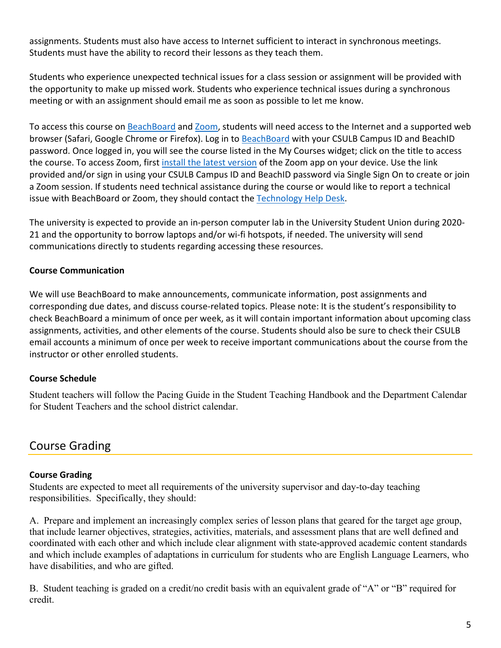assignments. Students must also have access to Internet sufficient to interact in synchronous meetings. Students must have the ability to record their lessons as they teach them.

Students who experience unexpected technical issues for a class session or assignment will be provided with the opportunity to make up missed work. Students who experience technical issues during a synchronous meeting or with an assignment should email me as soon as possible to let me know.

To access this course on BeachBoard and [Zoom,](https://csulb.zoom.us/meeting) students will need access to the Internet and a supported web browser (Safari, Google Chrome or Firefox). Log in to [BeachBoard](https://bbcsulb.desire2learn.com/) with your CSULB Campus ID and BeachID password. Once logged in, you will see the course listed in the My Courses widget; click on the title to access the course. To access Zoom, first [install the latest version](https://zoom.us/download) of the Zoom app on your device. Use the link provided and/or sign in using your CSULB Campus ID and BeachID password via Single Sign On to create or join a Zoom session. If students need technical assistance during the course or would like to report a technical issue with BeachBoard or Zoom, they should contact the [Technology Help Desk.](https://www.csulb.edu/academic-technology-services/academic-technology-resources-for-students)

The university is expected to provide an in-person computer lab in the University Student Union during 2020- 21 and the opportunity to borrow laptops and/or wi-fi hotspots, if needed. The university will send communications directly to students regarding accessing these resources.

# **Course Communication**

We will use BeachBoard to make announcements, communicate information, post assignments and corresponding due dates, and discuss course-related topics. Please note: It is the student's responsibility to check BeachBoard a minimum of once per week, as it will contain important information about upcoming class assignments, activities, and other elements of the course. Students should also be sure to check their CSULB email accounts a minimum of once per week to receive important communications about the course from the instructor or other enrolled students.

#### **Course Schedule**

Student teachers will follow the Pacing Guide in the Student Teaching Handbook and the Department Calendar for Student Teachers and the school district calendar.

# Course Grading

#### **Course Grading**

Students are expected to meet all requirements of the university supervisor and day-to-day teaching responsibilities. Specifically, they should:

A. Prepare and implement an increasingly complex series of lesson plans that geared for the target age group, that include learner objectives, strategies, activities, materials, and assessment plans that are well defined and coordinated with each other and which include clear alignment with state-approved academic content standards and which include examples of adaptations in curriculum for students who are English Language Learners, who have disabilities, and who are gifted.

B. Student teaching is graded on a credit/no credit basis with an equivalent grade of "A" or "B" required for credit.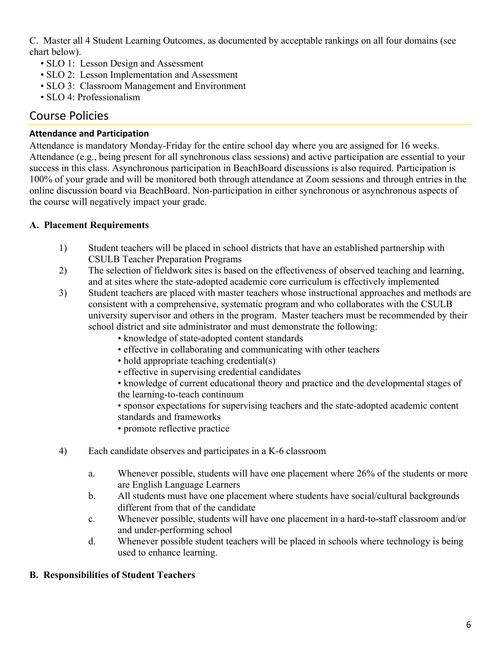C. Master all 4 Student Learning Outcomes, as documented by acceptable rankings on all four domains (see chart below).

- SLO 1: Lesson Design and Assessment
- SLO 2: Lesson Implementation and Assessment
- SLO 3: Classroom Management and Environment
- SLO 4: Professionalism

# Course Policies

# **Attendance and Participation**

Attendance is mandatory Monday-Friday for the entire school day where you are assigned for 16 weeks. Attendance (e.g., being present for all synchronous class sessions) and active participation are essential to your success in this class. Asynchronous participation in BeachBoard discussions is also required. Participation is 100% of your grade and will be monitored both through attendance at Zoom sessions and through entries in the online discussion board via BeachBoard. Non-participation in either synchronous or asynchronous aspects of the course will negatively impact your grade.

# **A. Placement Requirements**

- 1) Student teachers will be placed in school districts that have an established partnership with CSULB Teacher Preparation Programs
- 2) The selection of fieldwork sites is based on the effectiveness of observed teaching and learning, and at sites where the state-adopted academic core curriculum is effectively implemented
- 3) Student teachers are placed with master teachers whose instructional approaches and methods are consistent with a comprehensive, systematic program and who collaborates with the CSULB university supervisor and others in the program. Master teachers must be recommended by their school district and site administrator and must demonstrate the following:
	- knowledge of state-adopted content standards
	- effective in collaborating and communicating with other teachers
	- hold appropriate teaching credential(s)
	- effective in supervising credential candidates

• knowledge of current educational theory and practice and the developmental stages of the learning-to-teach continuum

• sponsor expectations for supervising teachers and the state-adopted academic content standards and frameworks

- promote reflective practice
- 4) Each candidate observes and participates in a K-6 classroom
	- a. Whenever possible, students will have one placement where 26% of the students or more are English Language Learners
	- b. All students must have one placement where students have social/cultural backgrounds different from that of the candidate
	- c. Whenever possible, students will have one placement in a hard-to-staff classroom and/or and under-performing school
	- d. Whenever possible student teachers will be placed in schools where technology is being used to enhance learning.

# **B. Responsibilities of Student Teachers**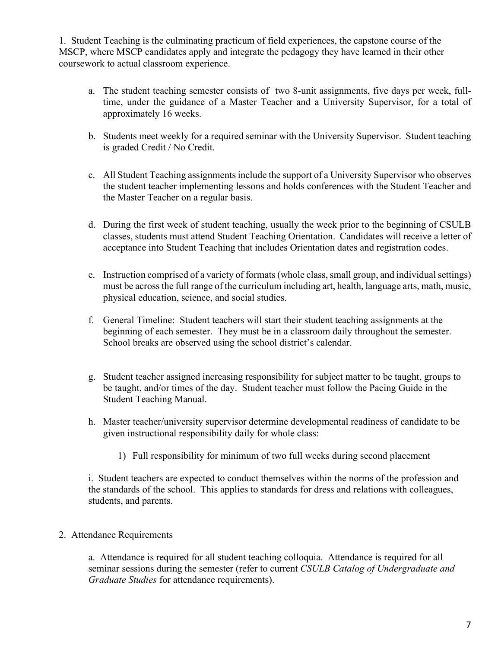1. Student Teaching is the culminating practicum of field experiences, the capstone course of the MSCP, where MSCP candidates apply and integrate the pedagogy they have learned in their other coursework to actual classroom experience.

- a. The student teaching semester consists of two 8-unit assignments, five days per week, fulltime, under the guidance of a Master Teacher and a University Supervisor, for a total of approximately 16 weeks.
- b. Students meet weekly for a required seminar with the University Supervisor. Student teaching is graded Credit / No Credit.
- c. All Student Teaching assignments include the support of a University Supervisor who observes the student teacher implementing lessons and holds conferences with the Student Teacher and the Master Teacher on a regular basis.
- d. During the first week of student teaching, usually the week prior to the beginning of CSULB classes, students must attend Student Teaching Orientation. Candidates will receive a letter of acceptance into Student Teaching that includes Orientation dates and registration codes.
- e. Instruction comprised of a variety of formats (whole class, small group, and individual settings) must be across the full range of the curriculum including art, health, language arts, math, music, physical education, science, and social studies.
- f. General Timeline: Student teachers will start their student teaching assignments at the beginning of each semester. They must be in a classroom daily throughout the semester. School breaks are observed using the school district's calendar.
- g. Student teacher assigned increasing responsibility for subject matter to be taught, groups to be taught, and/or times of the day. Student teacher must follow the Pacing Guide in the Student Teaching Manual.
- h. Master teacher/university supervisor determine developmental readiness of candidate to be given instructional responsibility daily for whole class:
	- 1) Full responsibility for minimum of two full weeks during second placement

i. Student teachers are expected to conduct themselves within the norms of the profession and the standards of the school. This applies to standards for dress and relations with colleagues, students, and parents.

#### 2. Attendance Requirements

a. Attendance is required for all student teaching colloquia. Attendance is required for all seminar sessions during the semester (refer to current *CSULB Catalog of Undergraduate and Graduate Studies* for attendance requirements).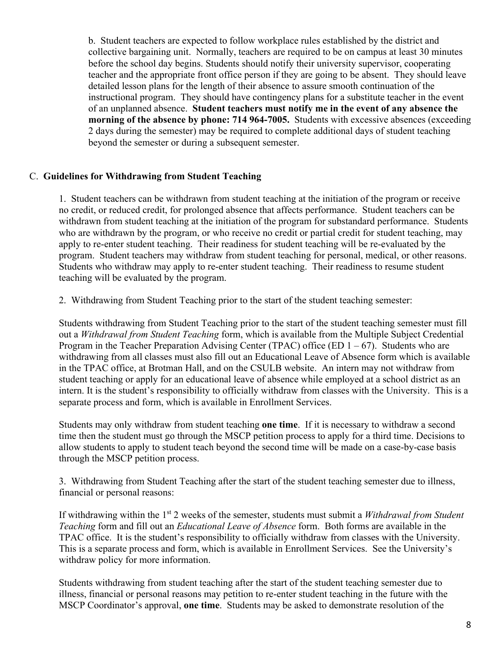b. Student teachers are expected to follow workplace rules established by the district and collective bargaining unit. Normally, teachers are required to be on campus at least 30 minutes before the school day begins. Students should notify their university supervisor, cooperating teacher and the appropriate front office person if they are going to be absent. They should leave detailed lesson plans for the length of their absence to assure smooth continuation of the instructional program. They should have contingency plans for a substitute teacher in the event of an unplanned absence. **Student teachers must notify me in the event of any absence the morning of the absence by phone: 714 964-7005.** Students with excessive absences (exceeding 2 days during the semester) may be required to complete additional days of student teaching beyond the semester or during a subsequent semester.

#### C. **Guidelines for Withdrawing from Student Teaching**

1. Student teachers can be withdrawn from student teaching at the initiation of the program or receive no credit, or reduced credit, for prolonged absence that affects performance. Student teachers can be withdrawn from student teaching at the initiation of the program for substandard performance. Students who are withdrawn by the program, or who receive no credit or partial credit for student teaching, may apply to re-enter student teaching. Their readiness for student teaching will be re-evaluated by the program. Student teachers may withdraw from student teaching for personal, medical, or other reasons. Students who withdraw may apply to re-enter student teaching. Their readiness to resume student teaching will be evaluated by the program.

2. Withdrawing from Student Teaching prior to the start of the student teaching semester:

Students withdrawing from Student Teaching prior to the start of the student teaching semester must fill out a *Withdrawal from Student Teaching* form, which is available from the Multiple Subject Credential Program in the Teacher Preparation Advising Center (TPAC) office (ED  $1 - 67$ ). Students who are withdrawing from all classes must also fill out an Educational Leave of Absence form which is available in the TPAC office, at Brotman Hall, and on the CSULB website. An intern may not withdraw from student teaching or apply for an educational leave of absence while employed at a school district as an intern. It is the student's responsibility to officially withdraw from classes with the University. This is a separate process and form, which is available in Enrollment Services.

Students may only withdraw from student teaching **one time**. If it is necessary to withdraw a second time then the student must go through the MSCP petition process to apply for a third time. Decisions to allow students to apply to student teach beyond the second time will be made on a case-by-case basis through the MSCP petition process.

3. Withdrawing from Student Teaching after the start of the student teaching semester due to illness, financial or personal reasons:

If withdrawing within the 1st 2 weeks of the semester, students must submit a *Withdrawal from Student Teaching* form and fill out an *Educational Leave of Absence* form. Both forms are available in the TPAC office. It is the student's responsibility to officially withdraw from classes with the University. This is a separate process and form, which is available in Enrollment Services. See the University's withdraw policy for more information.

Students withdrawing from student teaching after the start of the student teaching semester due to illness, financial or personal reasons may petition to re-enter student teaching in the future with the MSCP Coordinator's approval, **one time**. Students may be asked to demonstrate resolution of the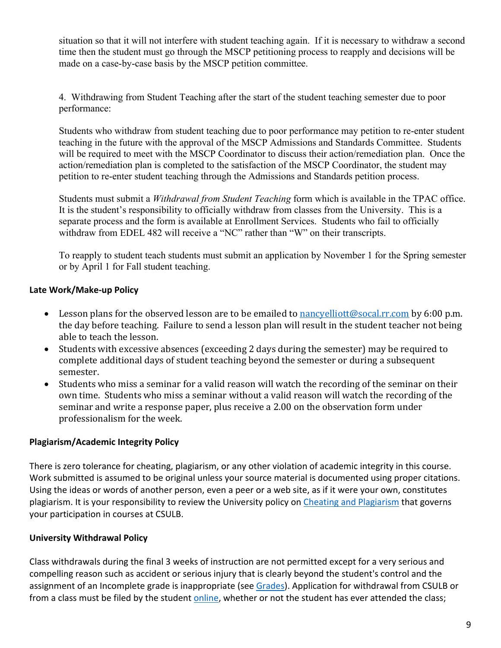situation so that it will not interfere with student teaching again. If it is necessary to withdraw a second time then the student must go through the MSCP petitioning process to reapply and decisions will be made on a case-by-case basis by the MSCP petition committee.

4. Withdrawing from Student Teaching after the start of the student teaching semester due to poor performance:

Students who withdraw from student teaching due to poor performance may petition to re-enter student teaching in the future with the approval of the MSCP Admissions and Standards Committee. Students will be required to meet with the MSCP Coordinator to discuss their action/remediation plan. Once the action/remediation plan is completed to the satisfaction of the MSCP Coordinator, the student may petition to re-enter student teaching through the Admissions and Standards petition process.

Students must submit a *Withdrawal from Student Teaching* form which is available in the TPAC office. It is the student's responsibility to officially withdraw from classes from the University. This is a separate process and the form is available at Enrollment Services. Students who fail to officially withdraw from EDEL 482 will receive a "NC" rather than "W" on their transcripts.

To reapply to student teach students must submit an application by November 1 for the Spring semester or by April 1 for Fall student teaching.

# **Late Work/Make-up Policy**

- Lesson plans for the observed lesson are to be emailed t[o nancyelliott@socal.rr.com](mailto:nancyelliott@socal.rr.com) by 6:00 p.m. the day before teaching. Failure to send a lesson plan will result in the student teacher not being able to teach the lesson.
- Students with excessive absences (exceeding 2 days during the semester) may be required to complete additional days of student teaching beyond the semester or during a subsequent semester.
- Students who miss a seminar for a valid reason will watch the recording of the seminar on their own time. Students who miss a seminar without a valid reason will watch the recording of the seminar and write a response paper, plus receive a 2.00 on the observation form under professionalism for the week.

#### **Plagiarism/Academic Integrity Policy**

There is zero tolerance for cheating, plagiarism, or any other violation of academic integrity in this course. Work submitted is assumed to be original unless your source material is documented using proper citations. Using the ideas or words of another person, even a peer or a web site, as if it were your own, constitutes plagiarism. It is your responsibility to review the University policy on [Cheating and Plagiarism](http://catalog.csulb.edu/content.php?catoid=5&navoid=369#cheating-and-plagiarism) that governs your participation in courses at CSULB.

# **University Withdrawal Policy**

Class withdrawals during the final 3 weeks of instruction are not permitted except for a very serious and compelling reason such as accident or serious injury that is clearly beyond the student's control and the assignment of an Incomplete grade is inappropriate (see [Grades\)](http://www.csulb.edu/depts/enrollment/student_academic_records/grading.html). Application for withdrawal from CSULB or from a class must be filed by the student [online,](https://www.csulb.edu/student-records/dropping-and-withdrawing) whether or not the student has ever attended the class;